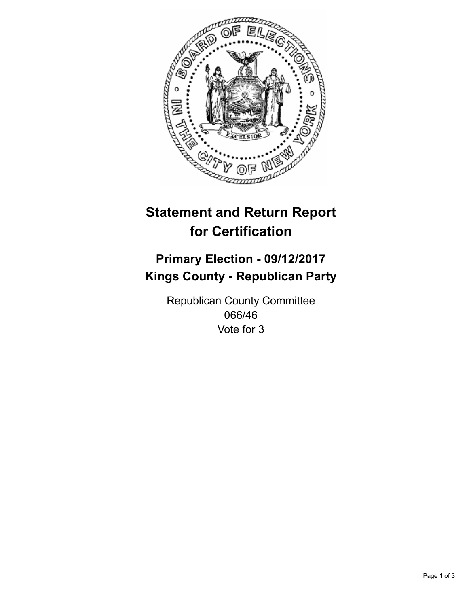

## **Statement and Return Report for Certification**

## **Primary Election - 09/12/2017 Kings County - Republican Party**

Republican County Committee 066/46 Vote for 3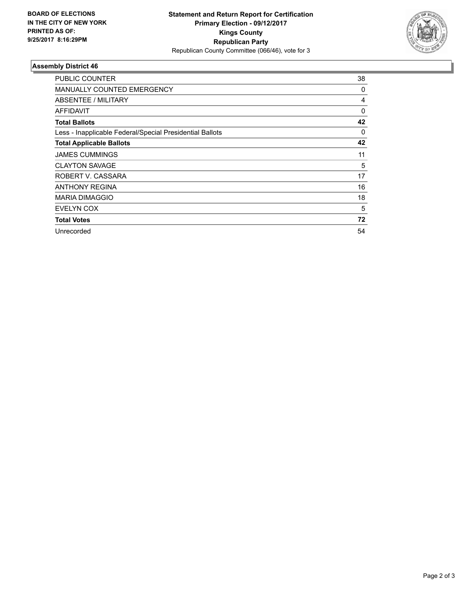

## **Assembly District 46**

| PUBLIC COUNTER                                           | 38 |
|----------------------------------------------------------|----|
| <b>MANUALLY COUNTED EMERGENCY</b>                        | 0  |
| ABSENTEE / MILITARY                                      | 4  |
| AFFIDAVIT                                                | 0  |
| <b>Total Ballots</b>                                     | 42 |
| Less - Inapplicable Federal/Special Presidential Ballots | 0  |
| <b>Total Applicable Ballots</b>                          | 42 |
| <b>JAMES CUMMINGS</b>                                    | 11 |
| <b>CLAYTON SAVAGE</b>                                    | 5  |
| ROBERT V. CASSARA                                        | 17 |
| <b>ANTHONY REGINA</b>                                    | 16 |
| <b>MARIA DIMAGGIO</b>                                    | 18 |
| EVELYN COX                                               | 5  |
| <b>Total Votes</b>                                       | 72 |
| Unrecorded                                               | 54 |